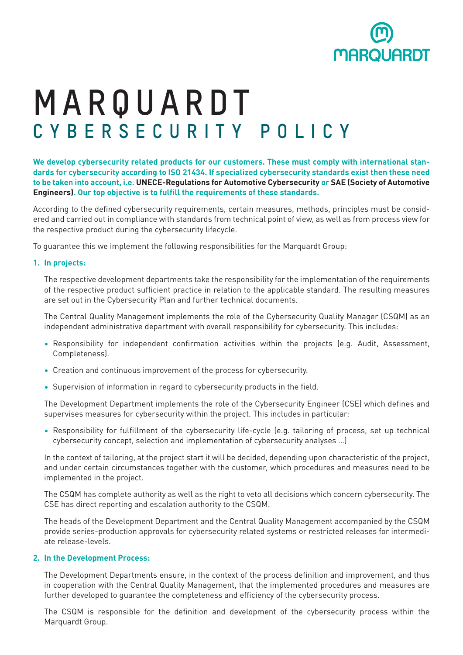

# **MARQUARDT C Y B E R S E C U R I T Y P O L I C Y**

**We develop cybersecurity related products for our customers. These must comply with international standards for cybersecurity according to ISO 21434. If specialized cybersecurity standards exist then these need to be taken into account, i.e. UNECE-Regulations for Automotive Cybersecurity or SAE (Society of Automotive Engineers). Our top objective is to fulfill the requirements of these standards.**

According to the defined cybersecurity requirements, certain measures, methods, principles must be considered and carried out in compliance with standards from technical point of view, as well as from process view for the respective product during the cybersecurity lifecycle.

To guarantee this we implement the following responsibilities for the Marquardt Group:

### **1. In projects:**

The respective development departments take the responsibility for the implementation of the requirements of the respective product sufficient practice in relation to the applicable standard. The resulting measures are set out in the Cybersecurity Plan and further technical documents.

The Central Quality Management implements the role of the Cybersecurity Quality Manager (CSQM) as an independent administrative department with overall responsibility for cybersecurity. This includes:

- Responsibility for independent confirmation activities within the projects (e.g. Audit, Assessment, Completeness).
- Creation and continuous improvement of the process for cybersecurity.
- Supervision of information in regard to cybersecurity products in the field.

The Development Department implements the role of the Cybersecurity Engineer (CSE) which defines and supervises measures for cybersecurity within the project. This includes in particular:

• Responsibility for fulfillment of the cybersecurity life-cycle (e.g. tailoring of process, set up technical cybersecurity concept, selection and implementation of cybersecurity analyses …)

In the context of tailoring, at the project start it will be decided, depending upon characteristic of the project, and under certain circumstances together with the customer, which procedures and measures need to be implemented in the project.

The CSQM has complete authority as well as the right to veto all decisions which concern cybersecurity. The CSE has direct reporting and escalation authority to the CSQM.

The heads of the Development Department and the Central Quality Management accompanied by the CSQM provide series-production approvals for cybersecurity related systems or restricted releases for intermediate release-levels.

### **2. In the Development Process:**

The Development Departments ensure, in the context of the process definition and improvement, and thus in cooperation with the Central Quality Management, that the implemented procedures and measures are further developed to guarantee the completeness and efficiency of the cybersecurity process.

The CSQM is responsible for the definition and development of the cybersecurity process within the Marquardt Group.